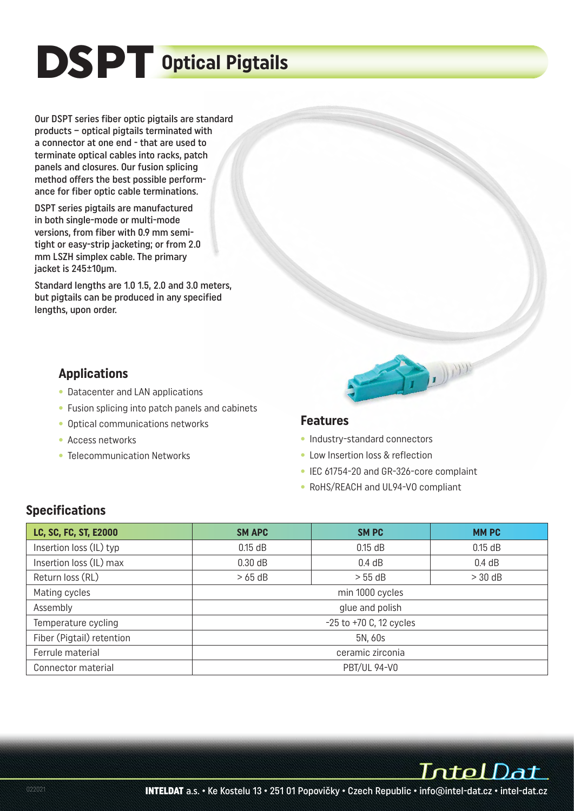# DSPT **Optical Pigtails**

Our DSPT series fiber optic pigtails are standard products – optical pigtails terminated with a connector at one end - that are used to terminate optical cables into racks, patch panels and closures. Our fusion splicing method offers the best possible performance for fiber optic cable terminations.

DSPT series pigtails are manufactured in both single-mode or multi-mode versions, from fiber with 0.9 mm semitight or easy-strip jacketing; or from 2.0 mm LSZH simplex cable. The primary jacket is 245±10μm.

Standard lengths are 1.0 1.5, 2.0 and 3.0 meters, but pigtails can be produced in any specified lengths, upon order.

- **Applications** Datacenter and LAN applications
- Fusion splicing into patch panels and cabinets
- Optical communications networks
- Access networks
- Telecommunication Networks



- **Features** Industry-standard connectors
- Low Insertion loss & reflection
- IEC 61754-20 and GR-326-core complaint
- RoHS/REACH and UL94-VO compliant

| LC, SC, FC, ST, E2000     | <b>SM APC</b>               | SM PC           | <b>MMPC</b> |  |  |  |
|---------------------------|-----------------------------|-----------------|-------------|--|--|--|
| Insertion loss (IL) typ   | $0.15$ dB                   | $0.15$ dB       | $0.15$ dB   |  |  |  |
| Insertion loss (IL) max   | 0.30 dB                     | 0.4 dB          | 0.4 dB      |  |  |  |
| Return loss (RL)          | >65 dB                      | $> 55$ dB       | $>30$ dB    |  |  |  |
| Mating cycles             |                             | min 1000 cycles |             |  |  |  |
| Assembly                  | glue and polish             |                 |             |  |  |  |
| Temperature cycling       | $-25$ to $+70$ C, 12 cycles |                 |             |  |  |  |
| Fiber (Pigtail) retention | 5N, 60s                     |                 |             |  |  |  |
| Ferrule material          | ceramic zirconia            |                 |             |  |  |  |
| Connector material        | <b>PBT/UL 94-V0</b>         |                 |             |  |  |  |

IntelDat